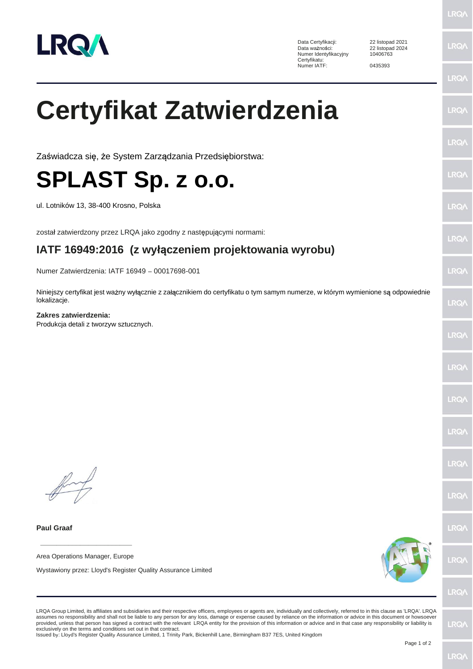

Data Certyfikacji: 22 listopad 2021<br>Data ważności: 22 listopad 2024 Numer Identyfikacyjny Certyfikatu: Numer IATF: 0435393

22 listopad 2024 10406763

 $RO/$ 

LRQ/

LRQ/

LRQ/

LRQ/

LRQ/

**LROA** 

LRQ/

LRQ/

LRQ/

LRQ/

LRQ/

 $RQ/$ 

LRQ/

LRQ/

LRQ/

LRQ/

LRQ/

## **Certyfikat Zatwierdzenia**

Zaświadcza się, że System Zarządzania Przedsiębiorstwa:

**SPLAST Sp. z o.o.**

ul. Lotników 13, 38-400 Krosno, Polska

został zatwierdzony przez LRQA jako zgodny z następującymi normami:

## **IATF 16949:2016 (z wy czeniem projektowania wyrobu)**

Numer Zatwierdzenia: IATF 16949 - 00017698-001

Niniejszy certyfikat jest ważny wyłącznie z załącznikiem do certyfikatu o tym samym numerze, w którym wymienione są odpowiednie lokalizacje.

**Zakres zatwierdzenia:**

Produkcja detali z tworzyw sztucznych.

**Paul Graaf**

**\_\_\_\_\_\_\_\_\_\_\_\_\_\_\_\_\_\_\_\_\_\_\_\_** Area Operations Manager, Europe

Wystawiony przez: Lloyd's Register Quality Assurance Limited



**LRQA** 

LRQA Group Limited, its affiliates and subsidiaries and their respective officers, employees or agents are, individually and collectively, referred to in this clause as 'LRQA'. LRQA assumes no responsibility and shall not be liable to any person for any loss, damage or expense caused by reliance on the information or advice in this document or howsoever provided, unless that person has signed a contract with the relevant LRQA entity for the provision of this information or advice and in that case any responsibility or liability is<br>exclusively on the terms and conditions s

Issued by: Lloyd's Register Quality Assurance Limited, 1 Trinity Park, Bickenhill Lane, Birmingham B37 7ES, United Kingdom

LRQ/